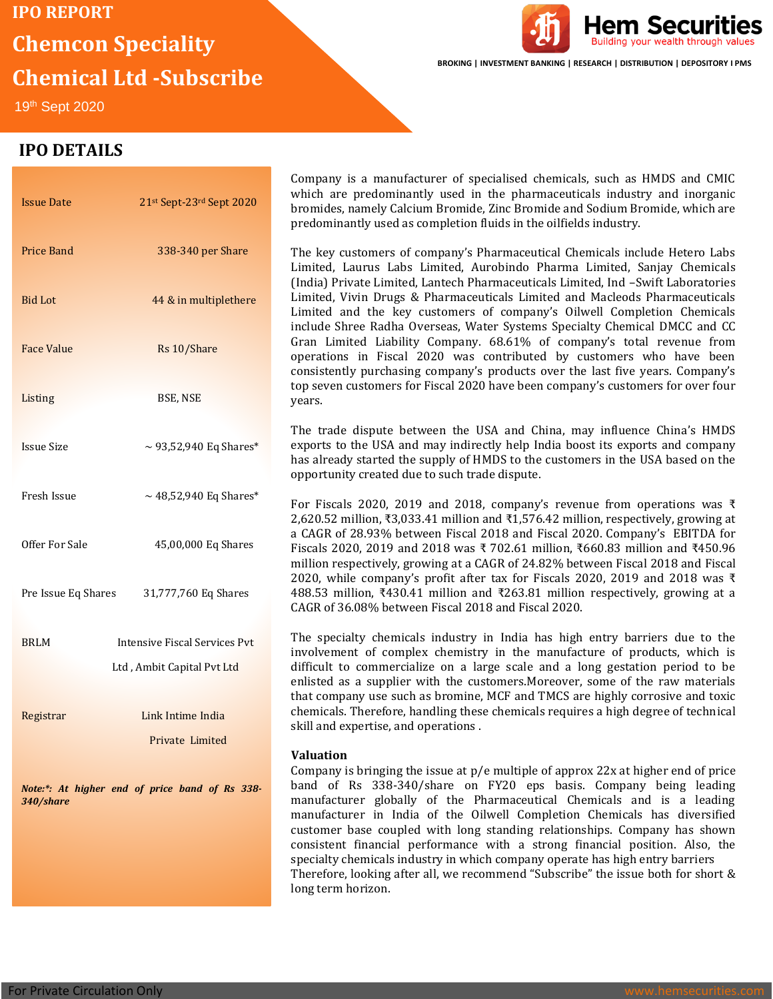# **IPO REPORT Chemcon Speciality Chemical Ltd -Subscribe**



**BROKING | INVESTMENT BANKING | RESEARCH | DISTRIBUTION | DEPOSITORY I PMS**

Hem Securities

19th Sept 2020 

# **IPO DETAILS**

| <b>Issue Date</b>   | 21st Sept-23rd Sept 2020             | which are predomi<br>bromides, namely Ca<br>predominantly used                                                                                                         |  |
|---------------------|--------------------------------------|------------------------------------------------------------------------------------------------------------------------------------------------------------------------|--|
| Price Band          | 338-340 per Share                    | The key customers<br>Limited, Laurus La<br>(India) Private Limit                                                                                                       |  |
| <b>Bid Lot</b>      | 44 & in multiplethere                | Limited, Vivin Drug<br>Limited and the ko<br>include Shree Radha<br>Gran Limited Liabi<br>operations in Fisca<br>consistently purchas<br>top seven customers<br>years. |  |
| <b>Face Value</b>   | Rs 10/Share                          |                                                                                                                                                                        |  |
| Listing             | BSE, NSE                             |                                                                                                                                                                        |  |
| <b>Issue Size</b>   | $\sim$ 93,52,940 Eq Shares*          | The trade dispute<br>exports to the USA a<br>has already started t<br>opportunity created                                                                              |  |
| Fresh Issue         | $\sim$ 48,52,940 Eq Shares*          | For Fiscals 2020, 2<br>2,620.52 million, ₹3,<br>a CAGR of 28.93% b                                                                                                     |  |
| Offer For Sale      | 45,00,000 Eq Shares                  | Fiscals 2020, 2019 a<br>million respectively,<br>2020, while compar                                                                                                    |  |
| Pre Issue Eq Shares | 31,777,760 Eq Shares                 | 488.53 million, ₹43<br>CAGR of 36.08% bet                                                                                                                              |  |
| <b>BRLM</b>         | <b>Intensive Fiscal Services Pvt</b> | The specialty chem<br>involvement of con                                                                                                                               |  |
|                     | Ltd, Ambit Capital Pvt Ltd           | difficult to commer<br>enlisted as a suppli-<br>that company use su                                                                                                    |  |
| Registrar           | Link Intime India                    | chemicals. Therefore<br>skill and expertise, a                                                                                                                         |  |
|                     | Private Limited                      | <b>Valuation</b>                                                                                                                                                       |  |
|                     |                                      | Company is bringing                                                                                                                                                    |  |
|                     |                                      | hand of $D_c$ 220 2                                                                                                                                                    |  |

*Note:\*: At higher end of price band of Rs 338- 340/share*

Company is a manufacturer of specialised chemicals, such as HMDS and CMIC nantly used in the pharmaceuticals industry and inorganic alcium Bromide, Zinc Bromide and Sodium Bromide, which are as completion fluids in the oilfields industry.

of company's Pharmaceutical Chemicals include Hetero Labs bs Limited, Aurobindo Pharma Limited, Sanjay Chemicals ed, Lantech Pharmaceuticals Limited, Ind –Swift Laboratories s & Pharmaceuticals Limited and Macleods Pharmaceuticals ey customers of company's Oilwell Completion Chemicals a Overseas, Water Systems Specialty Chemical DMCC and CC ility Company. 68.61% of company's total revenue from al 2020 was contributed by customers who have been sing company's products over the last five years. Company's s for Fiscal 2020 have been company's customers for over four

between the USA and China, may influence China's HMDS and may indirectly help India boost its exports and company the supply of HMDS to the customers in the USA based on the due to such trade dispute.

019 and 2018, company's revenue from operations was  $\bar{\tau}$  $0.033.41$  million and ₹1,576.42 million, respectively, growing at between Fiscal 2018 and Fiscal 2020. Company's EBITDA for and 2018 was ₹ 702.61 million, ₹660.83 million and ₹450.96 growing at a CAGR of 24.82% between Fiscal 2018 and Fiscal ny's profit after tax for Fiscals 2020, 2019 and 2018 was ₹ 0.41 million and ₹263.81 million respectively, growing at a ween Fiscal 2018 and Fiscal 2020.

icals industry in India has high entry barriers due to the inplex chemistry in the manufacture of products, which is cialize on a large scale and a long gestation period to be er with the customers.Moreover, some of the raw materials uch as bromine, MCF and TMCS are highly corrosive and toxic e, handling these chemicals requires a high degree of technical nd operations.

g the issue at  $p/e$  multiple of approx  $22x$  at higher end of price band of Rs 338-340/share on FY20 eps basis. Company being leading manufacturer globally of the Pharmaceutical Chemicals and is a leading manufacturer in India of the Oilwell Completion Chemicals has diversified customer base coupled with long standing relationships. Company has shown consistent financial performance with a strong financial position. Also, the specialty chemicals industry in which company operate has high entry barriers Therefore, looking after all, we recommend "Subscribe" the issue both for short & long term horizon.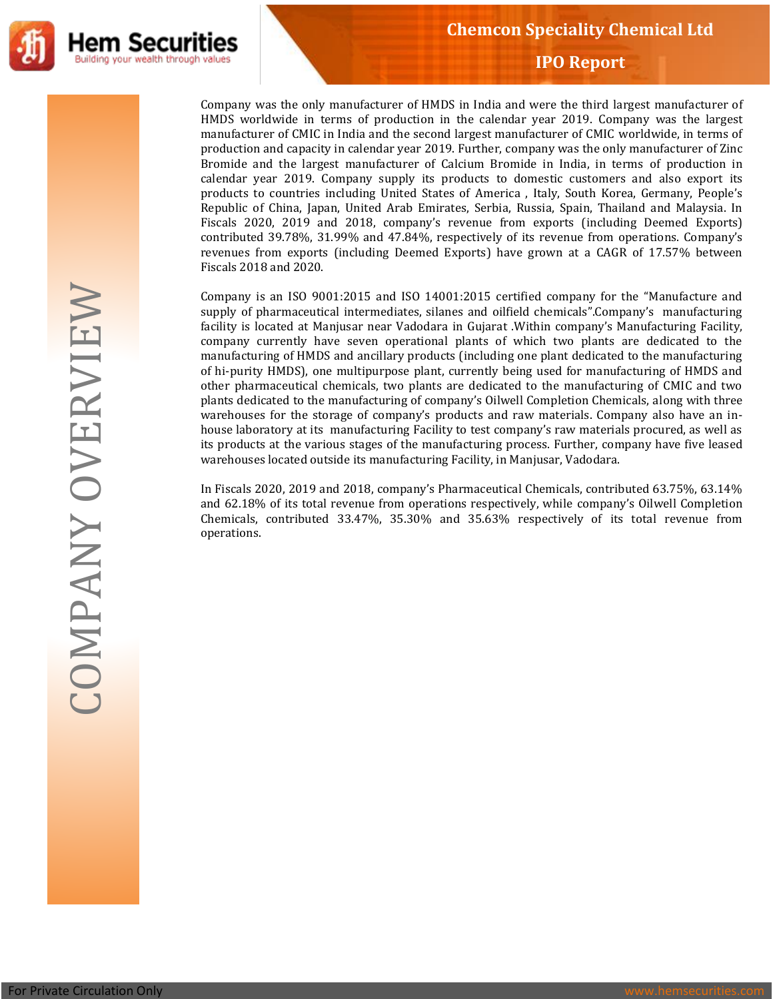

Company was the only manufacturer of HMDS in India and were the third largest manufacturer of HMDS worldwide in terms of production in the calendar year 2019. Company was the largest manufacturer of CMIC in India and the second largest manufacturer of CMIC worldwide, in terms of production and capacity in calendar year 2019. Further, company was the only manufacturer of Zinc Bromide and the largest manufacturer of Calcium Bromide in India, in terms of production in calendar year 2019. Company supply its products to domestic customers and also export its products to countries including United States of America , Italy, South Korea, Germany, People's Republic of China, Japan, United Arab Emirates, Serbia, Russia, Spain, Thailand and Malaysia. In Fiscals 2020, 2019 and 2018, company's revenue from exports (including Deemed Exports) contributed 39.78%, 31.99% and 47.84%, respectively of its revenue from operations. Company's revenues from exports (including Deemed Exports) have grown at a CAGR of 17.57% between Fiscals 2018 and 2020.

Company is an ISO 9001:2015 and ISO 14001:2015 certified company for the "Manufacture and supply of pharmaceutical intermediates, silanes and oilfield chemicals".Company's manufacturing facility is located at Manjusar near Vadodara in Gujarat .Within company's Manufacturing Facility, company currently have seven operational plants of which two plants are dedicated to the manufacturing of HMDS and ancillary products (including one plant dedicated to the manufacturing of hi-purity HMDS), one multipurpose plant, currently being used for manufacturing of HMDS and other pharmaceutical chemicals, two plants are dedicated to the manufacturing of CMIC and two plants dedicated to the manufacturing of company's Oilwell Completion Chemicals, along with three warehouses for the storage of company's products and raw materials. Company also have an inhouse laboratory at its manufacturing Facility to test company's raw materials procured, as well as its products at the various stages of the manufacturing process. Further, company have five leased warehouses located outside its manufacturing Facility, in Manjusar, Vadodara.

In Fiscals 2020, 2019 and 2018, company's Pharmaceutical Chemicals, contributed 63.75%, 63.14% and 62.18% of its total revenue from operations respectively, while company's Oilwell Completion Chemicals, contributed 33.47%, 35.30% and 35.63% respectively of its total revenue from operations.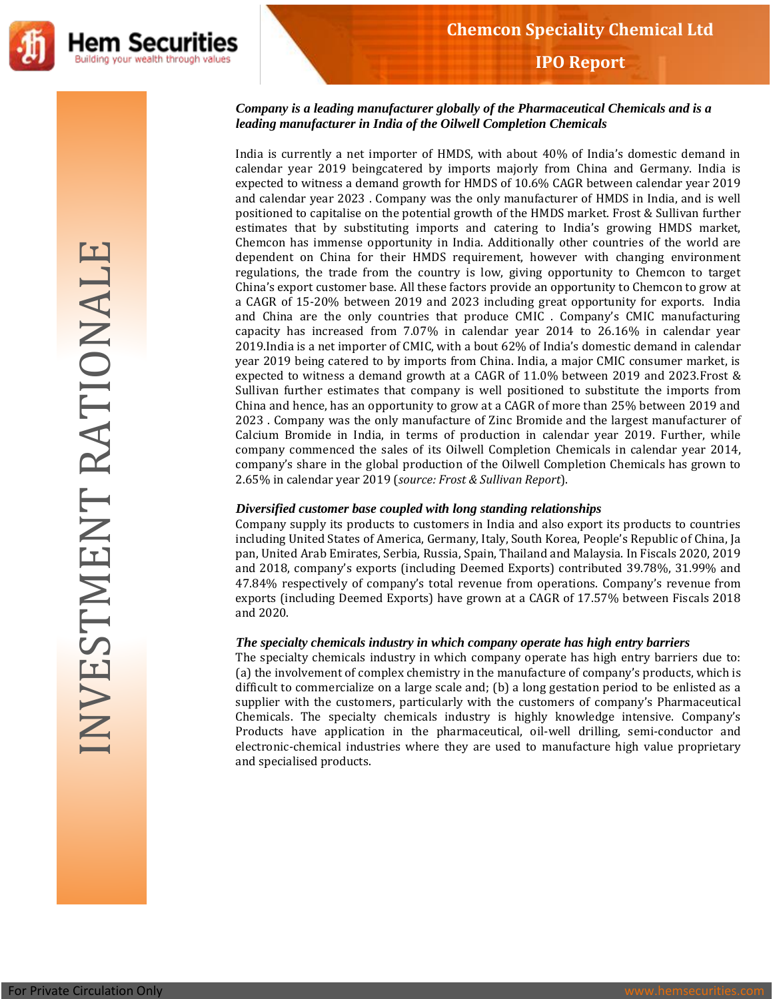

### *Company is a leading manufacturer globally of the Pharmaceutical Chemicals and is a leading manufacturer in India of the Oilwell Completion Chemicals*

India is currently a net importer of HMDS, with about 40% of India's domestic demand in calendar year 2019 beingcatered by imports majorly from China and Germany. India is expected to witness a demand growth for HMDS of 10.6% CAGR between calendar year 2019 and calendar year 2023 . Company was the only manufacturer of HMDS in India, and is well positioned to capitalise on the potential growth of the HMDS market. Frost & Sullivan further estimates that by substituting imports and catering to India's growing HMDS market, Chemcon has immense opportunity in India. Additionally other countries of the world are dependent on China for their HMDS requirement, however with changing environment regulations, the trade from the country is low, giving opportunity to Chemcon to target China's export customer base. All these factors provide an opportunity to Chemcon to grow at a CAGR of 15-20% between 2019 and 2023 including great opportunity for exports. India and China are the only countries that produce CMIC . Company's CMIC manufacturing capacity has increased from 7.07% in calendar year 2014 to 26.16% in calendar year 2019.India is a net importer of CMIC, with a bout 62% of India's domestic demand in calendar year 2019 being catered to by imports from China. India, a major CMIC consumer market, is expected to witness a demand growth at a CAGR of 11.0% between 2019 and 2023.Frost & Sullivan further estimates that company is well positioned to substitute the imports from China and hence, has an opportunity to grow at a CAGR of more than 25% between 2019 and 2023 . Company was the only manufacture of Zinc Bromide and the largest manufacturer of Calcium Bromide in India, in terms of production in calendar year 2019. Further, while company commenced the sales of its Oilwell Completion Chemicals in calendar year 2014, company's share in the global production of the Oilwell Completion Chemicals has grown to 2.65% in calendar year 2019 (*source: Frost & Sullivan Report*).

## *Diversified customer base coupled with long standing relationships*

Company supply its products to customers in India and also export its products to countries including United States of America, Germany, Italy, South Korea, People's Republic of China, Ja pan, United Arab Emirates, Serbia, Russia, Spain, Thailand and Malaysia. In Fiscals 2020, 2019 and 2018, company's exports (including Deemed Exports) contributed 39.78%, 31.99% and 47.84% respectively of company's total revenue from operations. Company's revenue from exports (including Deemed Exports) have grown at a CAGR of 17.57% between Fiscals 2018 and 2020.

#### *The specialty chemicals industry in which company operate has high entry barriers*

The specialty chemicals industry in which company operate has high entry barriers due to: (a) the involvement of complex chemistry in the manufacture of company's products, which is difficult to commercialize on a large scale and; (b) a long gestation period to be enlisted as a supplier with the customers, particularly with the customers of company's Pharmaceutical Chemicals. The specialty chemicals industry is highly knowledge intensive. Company's Products have application in the pharmaceutical, oil-well drilling, semi-conductor and electronic-chemical industries where they are used to manufacture high value proprietary and specialised products.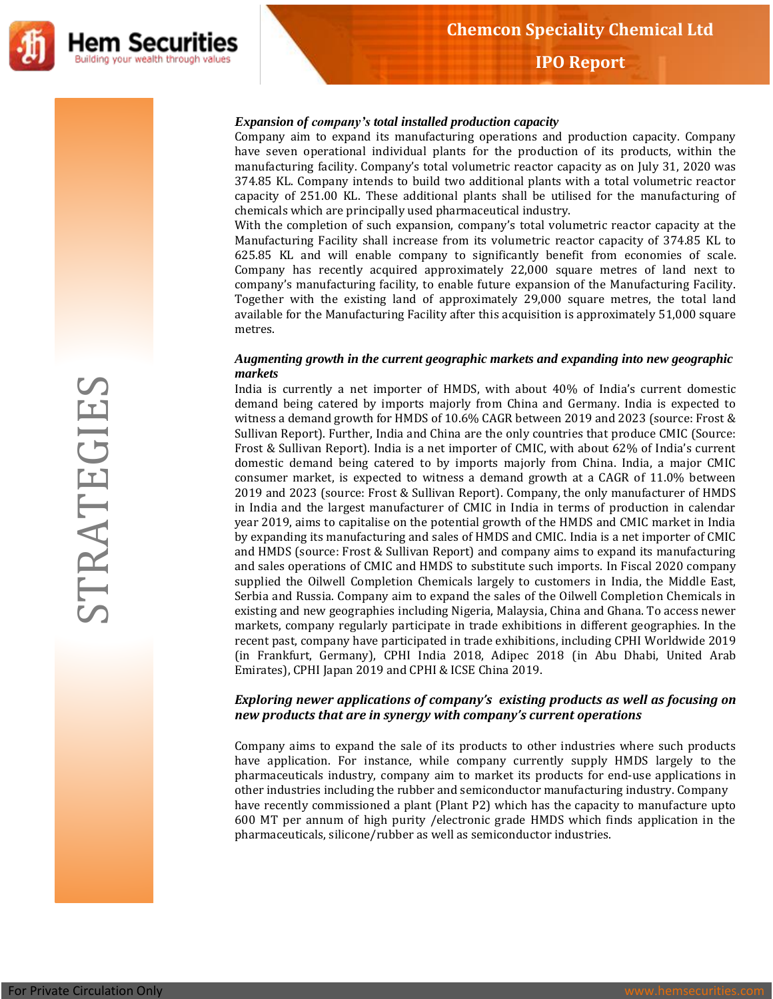

#### *Expansion of company's total installed production capacity*

Company aim to expand its manufacturing operations and production capacity. Company have seven operational individual plants for the production of its products, within the manufacturing facility. Company's total volumetric reactor capacity as on July 31, 2020 was 374.85 KL. Company intends to build two additional plants with a total volumetric reactor capacity of 251.00 KL. These additional plants shall be utilised for the manufacturing of chemicals which are principally used pharmaceutical industry.

With the completion of such expansion, company's total volumetric reactor capacity at the Manufacturing Facility shall increase from its volumetric reactor capacity of 374.85 KL to 625.85 KL and will enable company to significantly benefit from economies of scale. Company has recently acquired approximately 22,000 square metres of land next to company's manufacturing facility, to enable future expansion of the Manufacturing Facility. Together with the existing land of approximately 29,000 square metres, the total land available for the Manufacturing Facility after this acquisition is approximately 51,000 square metres.

#### *Augmenting growth in the current geographic markets and expanding into new geographic markets*

India is currently a net importer of HMDS, with about 40% of India's current domestic demand being catered by imports majorly from China and Germany. India is expected to witness a demand growth for HMDS of 10.6% CAGR between 2019 and 2023 (source: Frost & Sullivan Report). Further, India and China are the only countries that produce CMIC (Source: Frost & Sullivan Report). India is a net importer of CMIC, with about 62% of India's current domestic demand being catered to by imports majorly from China. India, a major CMIC consumer market, is expected to witness a demand growth at a CAGR of 11.0% between 2019 and 2023 (source: Frost & Sullivan Report). Company, the only manufacturer of HMDS in India and the largest manufacturer of CMIC in India in terms of production in calendar year 2019, aims to capitalise on the potential growth of the HMDS and CMIC market in India by expanding its manufacturing and sales of HMDS and CMIC. India is a net importer of CMIC and HMDS (source: Frost & Sullivan Report) and company aims to expand its manufacturing and sales operations of CMIC and HMDS to substitute such imports. In Fiscal 2020 company supplied the Oilwell Completion Chemicals largely to customers in India, the Middle East, Serbia and Russia. Company aim to expand the sales of the Oilwell Completion Chemicals in existing and new geographies including Nigeria, Malaysia, China and Ghana. To access newer markets, company regularly participate in trade exhibitions in different geographies. In the recent past, company have participated in trade exhibitions, including CPHI Worldwide 2019 (in Frankfurt, Germany), CPHI India 2018, Adipec 2018 (in Abu Dhabi, United Arab Emirates), CPHI Japan 2019 and CPHI & ICSE China 2019.

#### *Exploring newer applications of company's existing products as well as focusing on new products that are in synergy with company's current operations*

Company aims to expand the sale of its products to other industries where such products have application. For instance, while company currently supply HMDS largely to the pharmaceuticals industry, company aim to market its products for end-use applications in other industries including the rubber and semiconductor manufacturing industry. Company have recently commissioned a plant (Plant P2) which has the capacity to manufacture upto 600 MT per annum of high purity /electronic grade HMDS which finds application in the pharmaceuticals, silicone/rubber as well as semiconductor industries.